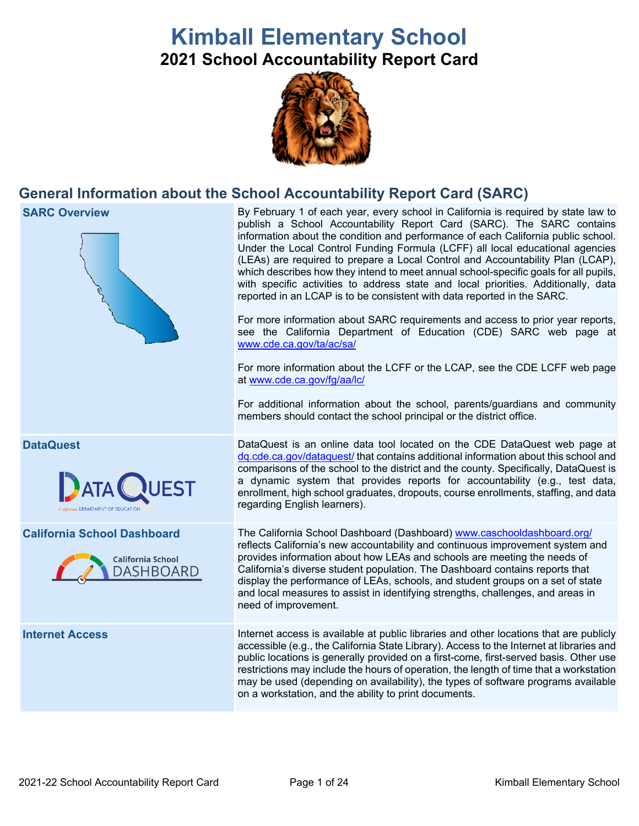# **Kimball Elementary School 2021 School Accountability Report Card**



## **General Information about the School Accountability Report Card (SARC)**

**SARC Overview** 



**DataQuest** 



**California School Dashboard** 



**Internet Access** 

 Under the Local Control Funding Formula (LCFF) all local educational agencies reported in an LCAP is to be consistent with data reported in the SARC. By February 1 of each year, every school in California is required by state law to publish a School Accountability Report Card (SARC). The SARC contains information about the condition and performance of each California public school. (LEAs) are required to prepare a Local Control and Accountability Plan (LCAP), which describes how they intend to meet annual school-specific goals for all pupils, with specific activities to address state and local priorities. Additionally, data

For more information about SARC requirements and access to prior year reports, see the California Department of Education (CDE) SARC web page at [www.cde.ca.gov/ta/ac/sa/](https://www.cde.ca.gov/ta/ac/sa/)

For more information about the LCFF or the LCAP, see the CDE LCFF web page at [www.cde.ca.gov/fg/aa/lc/](https://www.cde.ca.gov/fg/aa/lc/) 

For additional information about the school, parents/guardians and community members should contact the school principal or the district office.

 enrollment, high school graduates, dropouts, course enrollments, staffing, and data DataQuest is an online data tool located on the CDE DataQuest web page at [dq.cde.ca.gov/dataquest/](https://dq.cde.ca.gov/dataquest/) that contains additional information about this school and comparisons of the school to the district and the county. Specifically, DataQuest is a dynamic system that provides reports for accountability (e.g., test data, regarding English learners).

 California's diverse student population. The Dashboard contains reports that The California School Dashboard (Dashboard) [www.caschooldashboard.org/](http://www.caschooldashboard.org/)  reflects California's new accountability and continuous improvement system and provides information about how LEAs and schools are meeting the needs of display the performance of LEAs, schools, and student groups on a set of state and local measures to assist in identifying strengths, challenges, and areas in need of improvement.

Internet access is available at public libraries and other locations that are publicly accessible (e.g., the California State Library). Access to the Internet at libraries and public locations is generally provided on a first-come, first-served basis. Other use restrictions may include the hours of operation, the length of time that a workstation may be used (depending on availability), the types of software programs available on a workstation, and the ability to print documents.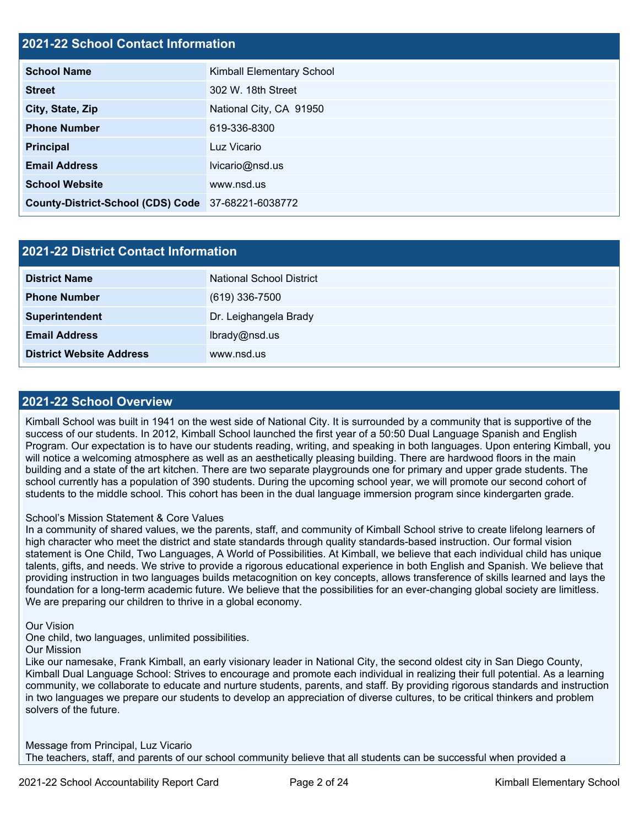### **2021-22 School Contact Information**

| <b>School Name</b>                                 | Kimball Elementary School |
|----------------------------------------------------|---------------------------|
| <b>Street</b>                                      | 302 W. 18th Street        |
| City, State, Zip                                   | National City, CA 91950   |
| <b>Phone Number</b>                                | 619-336-8300              |
| Principal                                          | Luz Vicario               |
| <b>Email Address</b>                               | lvicario@nsd.us           |
| <b>School Website</b>                              | www.nsd.us                |
| County-District-School (CDS) Code 37-68221-6038772 |                           |

| <b>2021-22 District Contact Information</b> |                          |  |  |  |
|---------------------------------------------|--------------------------|--|--|--|
| <b>District Name</b>                        | National School District |  |  |  |
| <b>Phone Number</b>                         | $(619)$ 336-7500         |  |  |  |
| Superintendent                              | Dr. Leighangela Brady    |  |  |  |
| <b>Email Address</b>                        | lbrady@nsd.us            |  |  |  |
| <b>District Website Address</b>             | www.nsd.us               |  |  |  |

#### **2021-22 School Overview**

 will notice a welcoming atmosphere as well as an aesthetically pleasing building. There are hardwood floors in the main building and a state of the art kitchen. There are two separate playgrounds one for primary and upper grade students. The school currently has a population of 390 students. During the upcoming school year, we will promote our second cohort of students to the middle school. This cohort has been in the dual language immersion program since kindergarten grade. Kimball School was built in 1941 on the west side of National City. It is surrounded by a community that is supportive of the success of our students. In 2012, Kimball School launched the first year of a 50:50 Dual Language Spanish and English Program. Our expectation is to have our students reading, writing, and speaking in both languages. Upon entering Kimball, you

#### School's Mission Statement & Core Values

 In a community of shared values, we the parents, staff, and community of Kimball School strive to create lifelong learners of providing instruction in two languages builds metacognition on key concepts, allows transference of skills learned and lays the high character who meet the district and state standards through quality standards-based instruction. Our formal vision statement is One Child, Two Languages, A World of Possibilities. At Kimball, we believe that each individual child has unique talents, gifts, and needs. We strive to provide a rigorous educational experience in both English and Spanish. We believe that foundation for a long-term academic future. We believe that the possibilities for an ever-changing global society are limitless. We are preparing our children to thrive in a global economy.

#### Our Vision

One child, two languages, unlimited possibilities.

Our Mission

 Kimball Dual Language School: Strives to encourage and promote each individual in realizing their full potential. As a learning Like our namesake, Frank Kimball, an early visionary leader in National City, the second oldest city in San Diego County, community, we collaborate to educate and nurture students, parents, and staff. By providing rigorous standards and instruction in two languages we prepare our students to develop an appreciation of diverse cultures, to be critical thinkers and problem solvers of the future.

 The teachers, staff, and parents of our school community believe that all students can be successful when provided a Message from Principal, Luz Vicario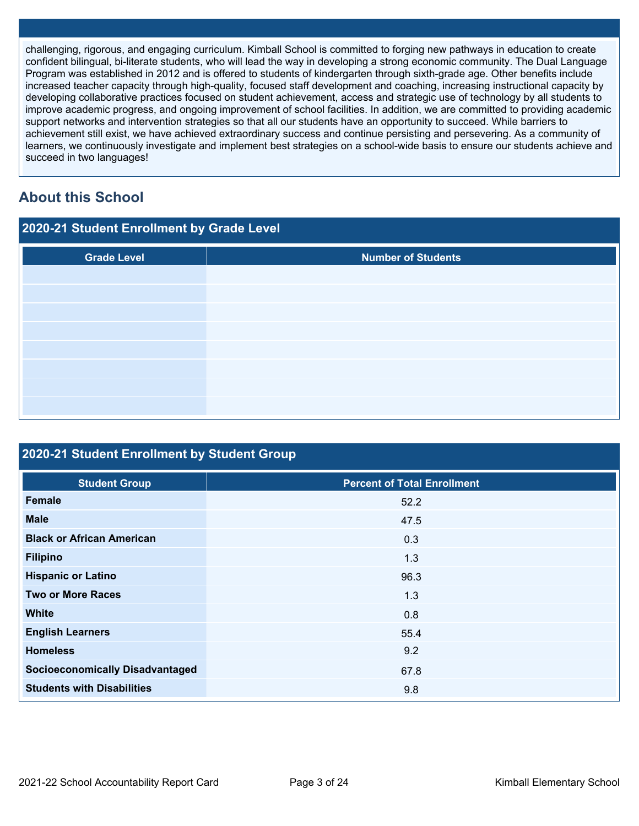challenging, rigorous, and engaging curriculum. Kimball School is committed to forging new pathways in education to create confident bilingual, bi-literate students, who will lead the way in developing a strong economic community. The Dual Language Program was established in 2012 and is offered to students of kindergarten through sixth-grade age. Other benefits include increased teacher capacity through high-quality, focused staff development and coaching, increasing instructional capacity by developing collaborative practices focused on student achievement, access and strategic use of technology by all students to improve academic progress, and ongoing improvement of school facilities. In addition, we are committed to providing academic support networks and intervention strategies so that all our students have an opportunity to succeed. While barriers to achievement still exist, we have achieved extraordinary success and continue persisting and persevering. As a community of learners, we continuously investigate and implement best strategies on a school-wide basis to ensure our students achieve and succeed in two languages!

## **About this School**

| 2020-21 Student Enrollment by Grade Level |                           |  |  |  |  |
|-------------------------------------------|---------------------------|--|--|--|--|
| <b>Grade Level</b>                        | <b>Number of Students</b> |  |  |  |  |
|                                           |                           |  |  |  |  |
|                                           |                           |  |  |  |  |
|                                           |                           |  |  |  |  |
|                                           |                           |  |  |  |  |
|                                           |                           |  |  |  |  |
|                                           |                           |  |  |  |  |
|                                           |                           |  |  |  |  |

## **2020-21 Student Enrollment by Student Group**

| 2020-21 Student Enrollment by Student Group |                                    |
|---------------------------------------------|------------------------------------|
| <b>Student Group</b>                        | <b>Percent of Total Enrollment</b> |
| Female                                      | 52.2                               |
| <b>Male</b>                                 | 47.5                               |
| <b>Black or African American</b>            | 0.3                                |
| <b>Filipino</b>                             | 1.3                                |
| <b>Hispanic or Latino</b>                   | 96.3                               |
| <b>Two or More Races</b>                    | 1.3                                |
| <b>White</b>                                | 0.8                                |
| <b>English Learners</b>                     | 55.4                               |
| <b>Homeless</b>                             | 9.2                                |
| <b>Socioeconomically Disadvantaged</b>      | 67.8                               |
| <b>Students with Disabilities</b>           | 9.8                                |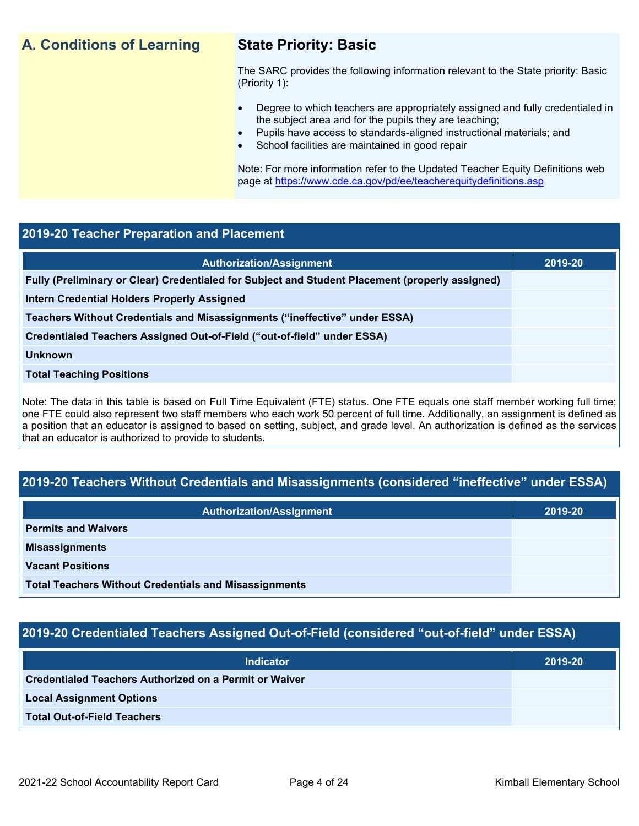## **A. Conditions of Learning State Priority: Basic**

- Degree to which teachers are appropriately assigned and fully credentialed in the subject area and for the pupils they are teaching;
	- Pupils have access to standards-aligned instructional materials; and
- School facilities are maintained in good repair

#### **2019-20 Teacher Preparation and Placement**

| <b>A. Conditions of Learning</b>                                           | <b>State Priority: Basic</b><br>The SARC provides the following information relevant to the State priority: Basic<br>(Priority 1):<br>Degree to which teachers are appropriately assigned and fully credentialed in<br>$\bullet$<br>the subject area and for the pupils they are teaching;<br>Pupils have access to standards-aligned instructional materials; and<br>$\bullet$<br>School facilities are maintained in good repair<br>Note: For more information refer to the Updated Teacher Equity Definitions web<br>page at https://www.cde.ca.gov/pd/ee/teacherequitydefinitions.asp |         |  |  |  |
|----------------------------------------------------------------------------|-------------------------------------------------------------------------------------------------------------------------------------------------------------------------------------------------------------------------------------------------------------------------------------------------------------------------------------------------------------------------------------------------------------------------------------------------------------------------------------------------------------------------------------------------------------------------------------------|---------|--|--|--|
|                                                                            |                                                                                                                                                                                                                                                                                                                                                                                                                                                                                                                                                                                           |         |  |  |  |
| 2019-20 Teacher Preparation and Placement                                  |                                                                                                                                                                                                                                                                                                                                                                                                                                                                                                                                                                                           |         |  |  |  |
|                                                                            | <b>Authorization/Assignment</b>                                                                                                                                                                                                                                                                                                                                                                                                                                                                                                                                                           | 2019-20 |  |  |  |
|                                                                            | Fully (Preliminary or Clear) Credentialed for Subject and Student Placement (properly assigned)                                                                                                                                                                                                                                                                                                                                                                                                                                                                                           |         |  |  |  |
| <b>Intern Credential Holders Properly Assigned</b>                         |                                                                                                                                                                                                                                                                                                                                                                                                                                                                                                                                                                                           |         |  |  |  |
| Teachers Without Credentials and Misassignments ("ineffective" under ESSA) |                                                                                                                                                                                                                                                                                                                                                                                                                                                                                                                                                                                           |         |  |  |  |
| Credentialed Teachers Assigned Out-of-Field ("out-of-field" under ESSA)    |                                                                                                                                                                                                                                                                                                                                                                                                                                                                                                                                                                                           |         |  |  |  |
| <b>Unknown</b>                                                             |                                                                                                                                                                                                                                                                                                                                                                                                                                                                                                                                                                                           |         |  |  |  |
| <b>Total Teaching Positions</b>                                            |                                                                                                                                                                                                                                                                                                                                                                                                                                                                                                                                                                                           |         |  |  |  |
| that an educator is authorized to provide to students.                     | Note: The data in this table is based on Full Time Equivalent (FTE) status. One FTE equals one staff member working full time;<br>one FTE could also represent two staff members who each work 50 percent of full time. Additionally, an assignment is defined as<br>a position that an educator is assigned to based on setting, subject, and grade level. An authorization is defined as the services                                                                                                                                                                                   |         |  |  |  |
|                                                                            |                                                                                                                                                                                                                                                                                                                                                                                                                                                                                                                                                                                           |         |  |  |  |
|                                                                            | 2019-20 Teachers Without Credentials and Misassignments (considered "ineffective" under ESSA)                                                                                                                                                                                                                                                                                                                                                                                                                                                                                             |         |  |  |  |
|                                                                            | <b>Authorization/Assignment</b>                                                                                                                                                                                                                                                                                                                                                                                                                                                                                                                                                           | 2019-20 |  |  |  |
| <b>Permits and Waivers</b>                                                 |                                                                                                                                                                                                                                                                                                                                                                                                                                                                                                                                                                                           |         |  |  |  |
| <b>Misassignments</b>                                                      |                                                                                                                                                                                                                                                                                                                                                                                                                                                                                                                                                                                           |         |  |  |  |
| <b>Vacant Positions</b>                                                    |                                                                                                                                                                                                                                                                                                                                                                                                                                                                                                                                                                                           |         |  |  |  |

#### **2019-20 Teachers Without Credentials and Misassignments (considered "ineffective" under ESSA)**

| <b>Authorization/Assignment</b>                              | 2019-20 |
|--------------------------------------------------------------|---------|
| <b>Permits and Waivers</b>                                   |         |
| <b>Misassignments</b>                                        |         |
| <b>Vacant Positions</b>                                      |         |
| <b>Total Teachers Without Credentials and Misassignments</b> |         |

#### **2019-20 Credentialed Teachers Assigned Out-of-Field (considered "out-of-field" under ESSA)**

| <b>Indicator</b>                                       | 2019-20 |
|--------------------------------------------------------|---------|
| Credentialed Teachers Authorized on a Permit or Waiver |         |
| <b>Local Assignment Options</b>                        |         |
| <b>Total Out-of-Field Teachers</b>                     |         |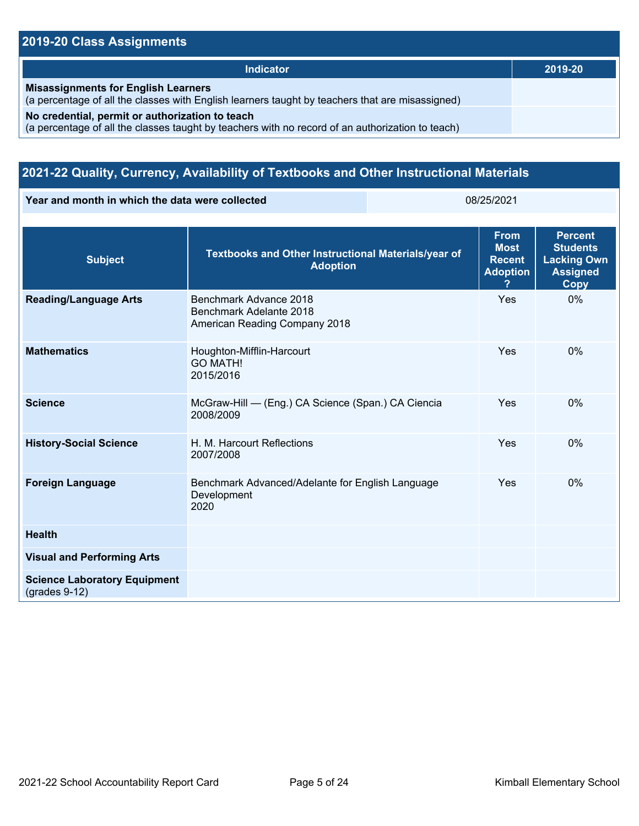## **2019-20 Class Assignments**

| Indicator                                                                                                                                           | 2019-20 |
|-----------------------------------------------------------------------------------------------------------------------------------------------------|---------|
| <b>Misassignments for English Learners</b><br>(a percentage of all the classes with English learners taught by teachers that are misassigned)       |         |
| No credential, permit or authorization to teach<br>(a percentage of all the classes taught by teachers with no record of an authorization to teach) |         |

## **2021-22 Quality, Currency, Availability of Textbooks and Other Instructional Materials**

**Year and month in which the data were collected** 08/25/2021

| <b>Subject</b>                                         | Textbooks and Other Instructional Materials/year of<br><b>Adoption</b>             | <b>From</b><br><b>Most</b><br><b>Recent</b><br><b>Adoption</b><br>? | <b>Percent</b><br><b>Students</b><br><b>Lacking Own</b><br><b>Assigned</b><br>Copy |
|--------------------------------------------------------|------------------------------------------------------------------------------------|---------------------------------------------------------------------|------------------------------------------------------------------------------------|
| <b>Reading/Language Arts</b>                           | Benchmark Advance 2018<br>Benchmark Adelante 2018<br>American Reading Company 2018 | Yes                                                                 | 0%                                                                                 |
| <b>Mathematics</b>                                     | Houghton-Mifflin-Harcourt<br><b>GO MATH!</b><br>2015/2016                          | Yes                                                                 | $0\%$                                                                              |
| <b>Science</b>                                         | McGraw-Hill - (Eng.) CA Science (Span.) CA Ciencia<br>2008/2009                    | Yes                                                                 | 0%                                                                                 |
| <b>History-Social Science</b>                          | H. M. Harcourt Reflections<br>2007/2008                                            | Yes                                                                 | 0%                                                                                 |
| <b>Foreign Language</b>                                | Benchmark Advanced/Adelante for English Language<br>Development<br>2020            | Yes                                                                 | 0%                                                                                 |
| <b>Health</b>                                          |                                                                                    |                                                                     |                                                                                    |
| <b>Visual and Performing Arts</b>                      |                                                                                    |                                                                     |                                                                                    |
| <b>Science Laboratory Equipment</b><br>$(grades 9-12)$ |                                                                                    |                                                                     |                                                                                    |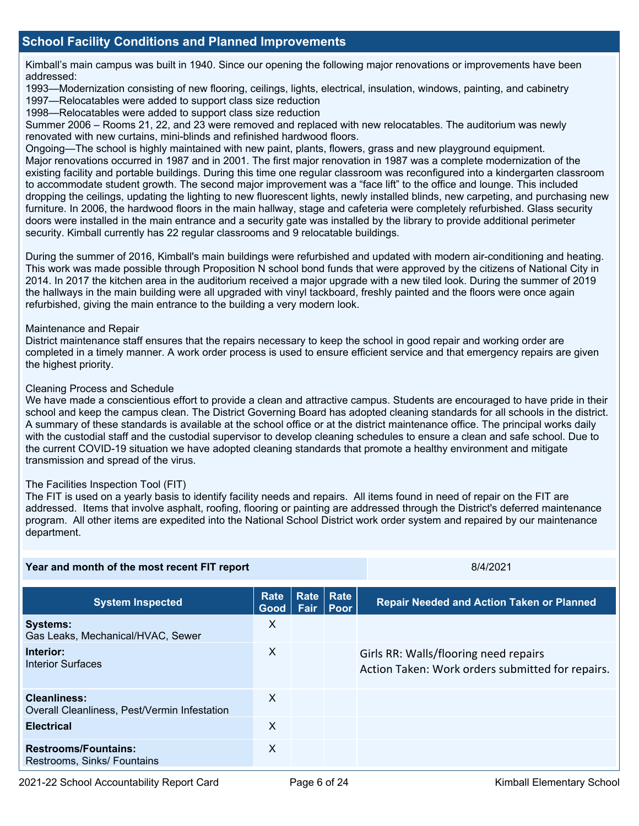Kimball's main campus was built in 1940. Since our opening the following major renovations or improvements have been addressed:

1993—Modernization consisting of new flooring, ceilings, lights, electrical, insulation, windows, painting, and cabinetry

1997—Relocatables were added to support class size reduction

1998—Relocatables were added to support class size reduction

Summer 2006 – Rooms 21, 22, and 23 were removed and replaced with new relocatables. The auditorium was newly renovated with new curtains, mini-blinds and refinished hardwood floors.

 Major renovations occurred in 1987 and in 2001. The first major renovation in 1987 was a complete modernization of the existing facility and portable buildings. During this time one regular classroom was reconfigured into a kindergarten classroom to accommodate student growth. The second major improvement was a "face lift" to the office and lounge. This included doors were installed in the main entrance and a security gate was installed by the library to provide additional perimeter security. Kimball currently has 22 regular classrooms and 9 relocatable buildings. Ongoing—The school is highly maintained with new paint, plants, flowers, grass and new playground equipment. dropping the ceilings, updating the lighting to new fluorescent lights, newly installed blinds, new carpeting, and purchasing new furniture. In 2006, the hardwood floors in the main hallway, stage and cafeteria were completely refurbished. Glass security

 During the summer of 2016, Kimball's main buildings were refurbished and updated with modern air-conditioning and heating. This work was made possible through Proposition N school bond funds that were approved by the citizens of National City in 2014. In 2017 the kitchen area in the auditorium received a major upgrade with a new tiled look. During the summer of 2019 the hallways in the main building were all upgraded with vinyl tackboard, freshly painted and the floors were once again refurbished, giving the main entrance to the building a very modern look.

#### Maintenance and Repair

District maintenance staff ensures that the repairs necessary to keep the school in good repair and working order are completed in a timely manner. A work order process is used to ensure efficient service and that emergency repairs are given the highest priority.

#### Cleaning Process and Schedule

 We have made a conscientious effort to provide a clean and attractive campus. Students are encouraged to have pride in their A summary of these standards is available at the school office or at the district maintenance office. The principal works daily with the custodial staff and the custodial supervisor to develop cleaning schedules to ensure a clean and safe school. Due to the current COVID-19 situation we have adopted cleaning standards that promote a healthy environment and mitigate school and keep the campus clean. The District Governing Board has adopted cleaning standards for all schools in the district. transmission and spread of the virus.

#### The Facilities Inspection Tool (FIT)

 The FIT is used on a yearly basis to identify facility needs and repairs. All items found in need of repair on the FIT are addressed. Items that involve asphalt, roofing, flooring or painting are addressed through the District's deferred maintenance program. All other items are expedited into the National School District work order system and repaired by our maintenance department.

| Year and month of the most recent FIT report                        |                     |      | 8/4/2021                        |                                                                                           |
|---------------------------------------------------------------------|---------------------|------|---------------------------------|-------------------------------------------------------------------------------------------|
| <b>System Inspected</b>                                             | <b>Rate</b><br>Good | Fair | <b>Rate Rate</b><br><b>Poor</b> | <b>Repair Needed and Action Taken or Planned</b>                                          |
| <b>Systems:</b><br>Gas Leaks, Mechanical/HVAC, Sewer                | X                   |      |                                 |                                                                                           |
| Interior:<br><b>Interior Surfaces</b>                               | X                   |      |                                 | Girls RR: Walls/flooring need repairs<br>Action Taken: Work orders submitted for repairs. |
| <b>Cleanliness:</b><br>Overall Cleanliness, Pest/Vermin Infestation | X                   |      |                                 |                                                                                           |
| <b>Electrical</b>                                                   | X                   |      |                                 |                                                                                           |
| <b>Restrooms/Fountains:</b><br>Restrooms, Sinks/ Fountains          | X                   |      |                                 |                                                                                           |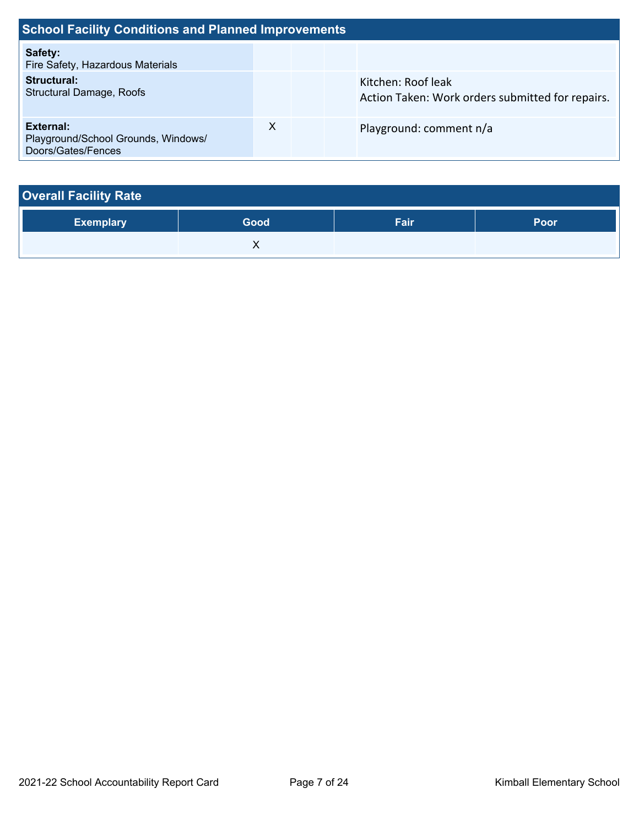| <b>School Facility Conditions and Planned Improvements</b>             |   |  |  |                                                                        |  |
|------------------------------------------------------------------------|---|--|--|------------------------------------------------------------------------|--|
| Safety:<br>Fire Safety, Hazardous Materials                            |   |  |  |                                                                        |  |
| Structural:<br>Structural Damage, Roofs                                |   |  |  | Kitchen: Roof leak<br>Action Taken: Work orders submitted for repairs. |  |
| External:<br>Playground/School Grounds, Windows/<br>Doors/Gates/Fences | X |  |  | Playground: comment n/a                                                |  |

| <b>Overall Facility Rate</b> |      |      |      |
|------------------------------|------|------|------|
| <b>Exemplary</b>             | Good | Fair | Poor |
|                              |      |      |      |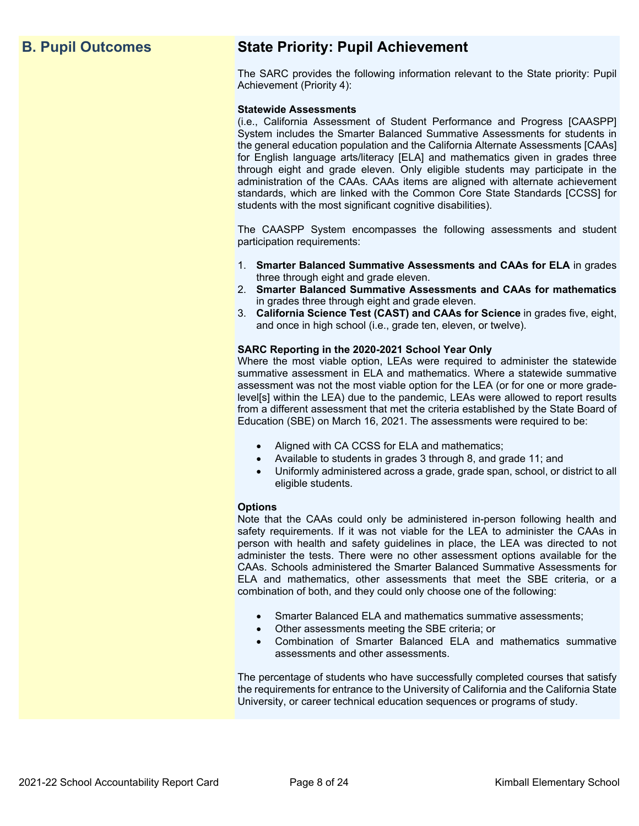## **B. Pupil Outcomes State Priority: Pupil Achievement**

The SARC provides the following information relevant to the State priority: Pupil Achievement (Priority 4):

#### **Statewide Assessments**

 (i.e., California Assessment of Student Performance and Progress [CAASPP] System includes the Smarter Balanced Summative Assessments for students in for English language arts/literacy [ELA] and mathematics given in grades three through eight and grade eleven. Only eligible students may participate in the standards, which are linked with the Common Core State Standards [CCSS] for the general education population and the California Alternate Assessments [CAAs] administration of the CAAs. CAAs items are aligned with alternate achievement students with the most significant cognitive disabilities).

The CAASPP System encompasses the following assessments and student participation requirements:

- 1. **Smarter Balanced Summative Assessments and CAAs for ELA** in grades three through eight and grade eleven.
- 2. **Smarter Balanced Summative Assessments and CAAs for mathematics** in grades three through eight and grade eleven.
- 3. **California Science Test (CAST) and CAAs for Science** in grades five, eight, and once in high school (i.e., grade ten, eleven, or twelve).

#### **SARC Reporting in the 2020-2021 School Year Only**

Where the most viable option, LEAs were required to administer the statewide summative assessment in ELA and mathematics. Where a statewide summative assessment was not the most viable option for the LEA (or for one or more gradelevel[s] within the LEA) due to the pandemic, LEAs were allowed to report results from a different assessment that met the criteria established by the State Board of Education (SBE) on March 16, 2021. The assessments were required to be:

- Aligned with CA CCSS for ELA and mathematics;
- Available to students in grades 3 through 8, and grade 11; and
- Uniformly administered across a grade, grade span, school, or district to all eligible students.

#### **Options**

Note that the CAAs could only be administered in-person following health and safety requirements. If it was not viable for the LEA to administer the CAAs in person with health and safety guidelines in place, the LEA was directed to not administer the tests. There were no other assessment options available for the CAAs. Schools administered the Smarter Balanced Summative Assessments for ELA and mathematics, other assessments that meet the SBE criteria, or a combination of both, and they could only choose one of the following:

- Smarter Balanced ELA and mathematics summative assessments;
- Other assessments meeting the SBE criteria; or
- Combination of Smarter Balanced ELA and mathematics summative assessments and other assessments.

The percentage of students who have successfully completed courses that satisfy the requirements for entrance to the University of California and the California State University, or career technical education sequences or programs of study.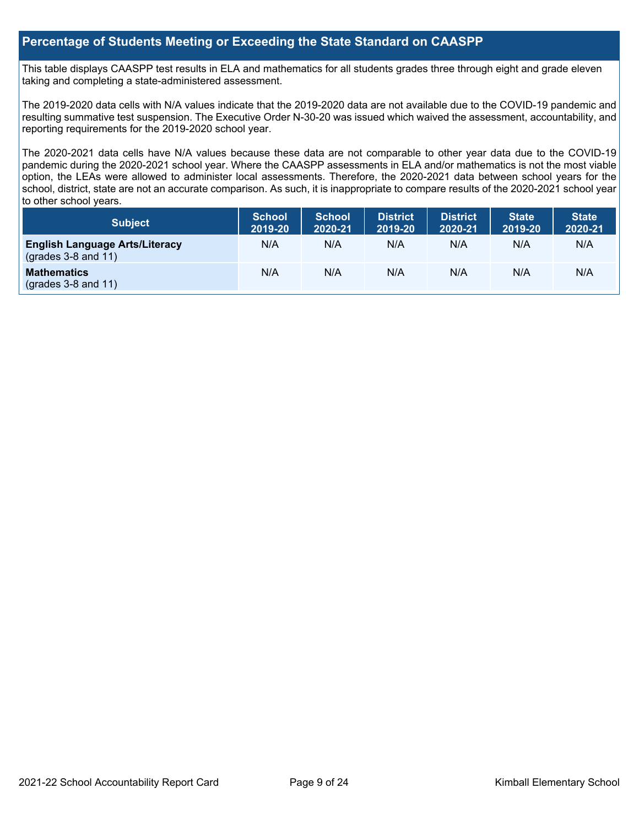#### **Percentage of Students Meeting or Exceeding the State Standard on CAASPP**

 taking and completing a state-administered assessment. This table displays CAASPP test results in ELA and mathematics for all students grades three through eight and grade eleven

The 2019-2020 data cells with N/A values indicate that the 2019-2020 data are not available due to the COVID-19 pandemic and resulting summative test suspension. The Executive Order N-30-20 was issued which waived the assessment, accountability, and reporting requirements for the 2019-2020 school year.

 pandemic during the 2020-2021 school year. Where the CAASPP assessments in ELA and/or mathematics is not the most viable school, district, state are not an accurate comparison. As such, it is inappropriate to compare results of the 2020-2021 school year The 2020-2021 data cells have N/A values because these data are not comparable to other year data due to the COVID-19 option, the LEAs were allowed to administer local assessments. Therefore, the 2020-2021 data between school years for the to other school years.

| <b>Subject</b>                                                       | <b>School</b><br>2019-20 | <b>School</b><br>2020-21 | <b>District</b><br>2019-20 | <b>District</b><br>2020-21 | <b>State</b><br>2019-20 | <b>State</b><br>2020-21 |
|----------------------------------------------------------------------|--------------------------|--------------------------|----------------------------|----------------------------|-------------------------|-------------------------|
| <b>English Language Arts/Literacy</b><br>$\left($ grades 3-8 and 11) | N/A                      | N/A                      | N/A                        | N/A                        | N/A                     | N/A                     |
| <b>Mathematics</b><br>$(grades 3-8 and 11)$                          | N/A                      | N/A                      | N/A                        | N/A                        | N/A                     | N/A                     |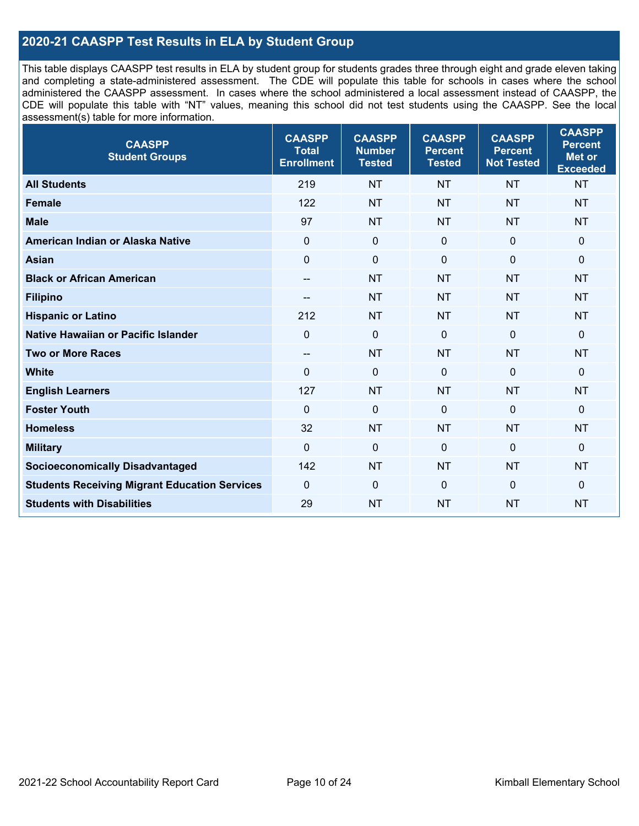### **2020-21 CAASPP Test Results in ELA by Student Group**

 and completing a state-administered assessment. The CDE will populate this table for schools in cases where the school CDE will populate this table with "NT" values, meaning this school did not test students using the CAASPP. See the local This table displays CAASPP test results in ELA by student group for students grades three through eight and grade eleven taking administered the CAASPP assessment. In cases where the school administered a local assessment instead of CAASPP, the assessment(s) table for more information.

| <b>CAASPP</b><br><b>Student Groups</b>               | <b>CAASPP</b><br><b>Total</b><br><b>Enrollment</b> | <b>CAASPP</b><br><b>Number</b><br><b>Tested</b> | <b>CAASPP</b><br><b>Percent</b><br><b>Tested</b> | <b>CAASPP</b><br><b>Percent</b><br><b>Not Tested</b> | <b>CAASPP</b><br><b>Percent</b><br><b>Met or</b><br><b>Exceeded</b> |
|------------------------------------------------------|----------------------------------------------------|-------------------------------------------------|--------------------------------------------------|------------------------------------------------------|---------------------------------------------------------------------|
| <b>All Students</b>                                  | 219                                                | <b>NT</b>                                       | <b>NT</b>                                        | <b>NT</b>                                            | <b>NT</b>                                                           |
| <b>Female</b>                                        | 122                                                | <b>NT</b>                                       | <b>NT</b>                                        | <b>NT</b>                                            | <b>NT</b>                                                           |
| <b>Male</b>                                          | 97                                                 | <b>NT</b>                                       | <b>NT</b>                                        | <b>NT</b>                                            | <b>NT</b>                                                           |
| American Indian or Alaska Native                     | $\mathbf 0$                                        | $\mathbf 0$                                     | $\mathbf{0}$                                     | $\mathbf 0$                                          | 0                                                                   |
| <b>Asian</b>                                         | $\mathbf 0$                                        | $\mathbf 0$                                     | 0                                                | 0                                                    | 0                                                                   |
| <b>Black or African American</b>                     | $\qquad \qquad -$                                  | <b>NT</b>                                       | <b>NT</b>                                        | <b>NT</b>                                            | <b>NT</b>                                                           |
| <b>Filipino</b>                                      | --                                                 | <b>NT</b>                                       | <b>NT</b>                                        | <b>NT</b>                                            | <b>NT</b>                                                           |
| <b>Hispanic or Latino</b>                            | 212                                                | <b>NT</b>                                       | <b>NT</b>                                        | <b>NT</b>                                            | <b>NT</b>                                                           |
| <b>Native Hawaiian or Pacific Islander</b>           | $\mathbf 0$                                        | $\mathbf 0$                                     | $\mathbf 0$                                      | $\mathbf 0$                                          | $\mathbf 0$                                                         |
| <b>Two or More Races</b>                             |                                                    | <b>NT</b>                                       | <b>NT</b>                                        | <b>NT</b>                                            | <b>NT</b>                                                           |
| <b>White</b>                                         | $\mathbf{0}$                                       | $\mathbf 0$                                     | $\Omega$                                         | $\mathbf 0$                                          | $\mathbf 0$                                                         |
| <b>English Learners</b>                              | 127                                                | <b>NT</b>                                       | <b>NT</b>                                        | <b>NT</b>                                            | <b>NT</b>                                                           |
| <b>Foster Youth</b>                                  | $\Omega$                                           | $\mathbf 0$                                     | $\mathbf{0}$                                     | $\mathbf 0$                                          | 0                                                                   |
| <b>Homeless</b>                                      | 32                                                 | <b>NT</b>                                       | <b>NT</b>                                        | <b>NT</b>                                            | <b>NT</b>                                                           |
| <b>Military</b>                                      | $\mathbf 0$                                        | $\mathbf 0$                                     | $\mathbf 0$                                      | $\mathbf 0$                                          | $\mathbf 0$                                                         |
| <b>Socioeconomically Disadvantaged</b>               | 142                                                | <b>NT</b>                                       | <b>NT</b>                                        | <b>NT</b>                                            | <b>NT</b>                                                           |
| <b>Students Receiving Migrant Education Services</b> | $\mathbf 0$                                        | $\mathbf 0$                                     | $\mathbf{0}$                                     | $\mathbf 0$                                          | 0                                                                   |
| <b>Students with Disabilities</b>                    | 29                                                 | <b>NT</b>                                       | <b>NT</b>                                        | <b>NT</b>                                            | <b>NT</b>                                                           |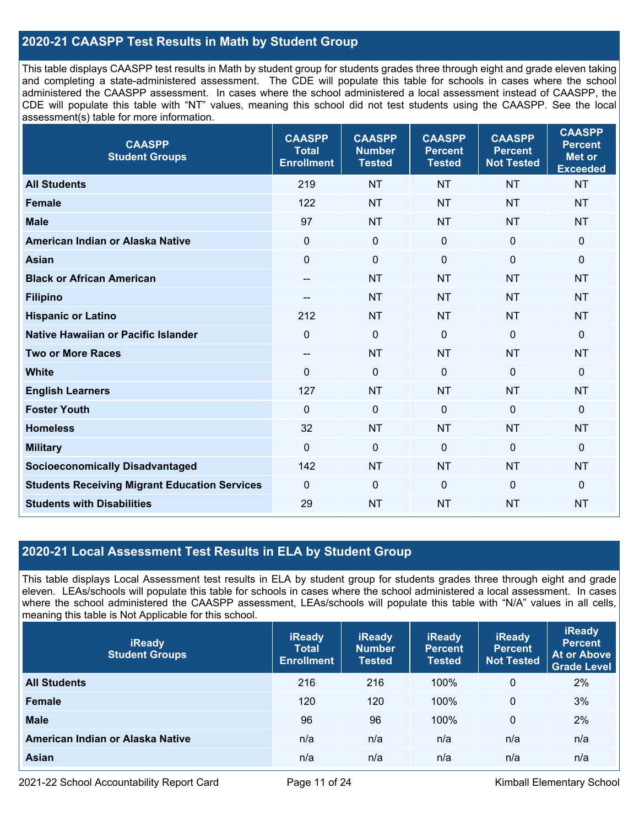### **2020-21 CAASPP Test Results in Math by Student Group**

 This table displays CAASPP test results in Math by student group for students grades three through eight and grade eleven taking and completing a state-administered assessment. The CDE will populate this table for schools in cases where the school CDE will populate this table with "NT" values, meaning this school did not test students using the CAASPP. See the local administered the CAASPP assessment. In cases where the school administered a local assessment instead of CAASPP, the assessment(s) table for more information.

| <b>CAASPP</b><br><b>Student Groups</b>               | <b>CAASPP</b><br><b>Total</b><br><b>Enrollment</b> | <b>CAASPP</b><br><b>Number</b><br><b>Tested</b> | <b>CAASPP</b><br><b>Percent</b><br><b>Tested</b> | <b>CAASPP</b><br><b>Percent</b><br><b>Not Tested</b> | <b>CAASPP</b><br><b>Percent</b><br><b>Met or</b><br><b>Exceeded</b> |
|------------------------------------------------------|----------------------------------------------------|-------------------------------------------------|--------------------------------------------------|------------------------------------------------------|---------------------------------------------------------------------|
| <b>All Students</b>                                  | 219                                                | <b>NT</b>                                       | <b>NT</b>                                        | <b>NT</b>                                            | <b>NT</b>                                                           |
| <b>Female</b>                                        | 122                                                | <b>NT</b>                                       | <b>NT</b>                                        | <b>NT</b>                                            | <b>NT</b>                                                           |
| <b>Male</b>                                          | 97                                                 | <b>NT</b>                                       | <b>NT</b>                                        | <b>NT</b>                                            | <b>NT</b>                                                           |
| American Indian or Alaska Native                     | $\mathbf 0$                                        | $\mathbf 0$                                     | $\mathbf 0$                                      | 0                                                    | $\mathbf 0$                                                         |
| <b>Asian</b>                                         | $\mathbf 0$                                        | $\mathbf 0$                                     | $\mathbf 0$                                      | 0                                                    | $\mathbf 0$                                                         |
| <b>Black or African American</b>                     | $\overline{\phantom{a}}$                           | <b>NT</b>                                       | <b>NT</b>                                        | <b>NT</b>                                            | <b>NT</b>                                                           |
| <b>Filipino</b>                                      | --                                                 | <b>NT</b>                                       | <b>NT</b>                                        | <b>NT</b>                                            | <b>NT</b>                                                           |
| <b>Hispanic or Latino</b>                            | 212                                                | <b>NT</b>                                       | <b>NT</b>                                        | <b>NT</b>                                            | <b>NT</b>                                                           |
| <b>Native Hawaiian or Pacific Islander</b>           | $\mathbf 0$                                        | $\mathbf 0$                                     | $\mathbf 0$                                      | 0                                                    | $\mathbf 0$                                                         |
| <b>Two or More Races</b>                             | $- -$                                              | <b>NT</b>                                       | <b>NT</b>                                        | <b>NT</b>                                            | <b>NT</b>                                                           |
| <b>White</b>                                         | $\mathbf 0$                                        | $\mathbf 0$                                     | $\mathbf 0$                                      | 0                                                    | $\mathbf 0$                                                         |
| <b>English Learners</b>                              | 127                                                | <b>NT</b>                                       | <b>NT</b>                                        | <b>NT</b>                                            | <b>NT</b>                                                           |
| <b>Foster Youth</b>                                  | $\mathbf{0}$                                       | $\mathbf 0$                                     | $\mathbf 0$                                      | $\Omega$                                             | $\mathbf 0$                                                         |
| <b>Homeless</b>                                      | 32                                                 | <b>NT</b>                                       | <b>NT</b>                                        | <b>NT</b>                                            | <b>NT</b>                                                           |
| <b>Military</b>                                      | $\mathbf 0$                                        | $\pmb{0}$                                       | $\mathbf 0$                                      | $\mathbf 0$                                          | $\mathbf 0$                                                         |
| <b>Socioeconomically Disadvantaged</b>               | 142                                                | <b>NT</b>                                       | <b>NT</b>                                        | <b>NT</b>                                            | <b>NT</b>                                                           |
| <b>Students Receiving Migrant Education Services</b> | $\mathbf 0$                                        | $\mathbf 0$                                     | $\mathbf 0$                                      | 0                                                    | $\mathbf 0$                                                         |
| <b>Students with Disabilities</b>                    | 29                                                 | <b>NT</b>                                       | <b>NT</b>                                        | <b>NT</b>                                            | <b>NT</b>                                                           |

#### **2020-21 Local Assessment Test Results in ELA by Student Group**

 eleven. LEAs/schools will populate this table for schools in cases where the school administered a local assessment. In cases This table displays Local Assessment test results in ELA by student group for students grades three through eight and grade where the school administered the CAASPP assessment, LEAs/schools will populate this table with "N/A" values in all cells, meaning this table is Not Applicable for this school.

| <b>iReady</b><br><b>Student Groups</b> | <b>iReady</b><br><b>Total</b><br><b>Enrollment</b> | <b>iReady</b><br><b>Number</b><br><b>Tested</b> | <b>iReady</b><br><b>Percent</b><br><b>Tested</b> | <b>iReady</b><br><b>Percent</b><br><b>Not Tested</b> | <b>iReady</b><br><b>Percent</b><br><b>At or Above</b><br>Grade Level |
|----------------------------------------|----------------------------------------------------|-------------------------------------------------|--------------------------------------------------|------------------------------------------------------|----------------------------------------------------------------------|
| <b>All Students</b>                    | 216                                                | 216                                             | 100%                                             | 0                                                    | 2%                                                                   |
| <b>Female</b>                          | 120                                                | 120                                             | 100%                                             | $\mathbf{0}$                                         | 3%                                                                   |
| <b>Male</b>                            | 96                                                 | 96                                              | 100%                                             | $\mathbf{0}$                                         | 2%                                                                   |
| American Indian or Alaska Native       | n/a                                                | n/a                                             | n/a                                              | n/a                                                  | n/a                                                                  |
| <b>Asian</b>                           | n/a                                                | n/a                                             | n/a                                              | n/a                                                  | n/a                                                                  |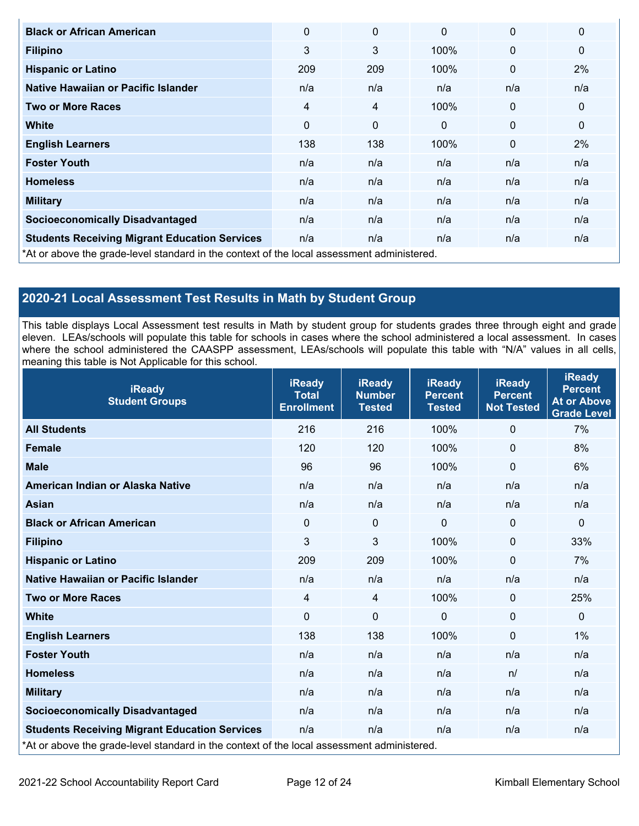| <b>Black or African American</b>                                                           | 0            | 0   | $\mathbf{0}$ | $\mathbf{0}$ | $\mathbf 0$ |
|--------------------------------------------------------------------------------------------|--------------|-----|--------------|--------------|-------------|
| <b>Filipino</b>                                                                            | 3            | 3   | 100%         | 0            | $\mathbf 0$ |
| <b>Hispanic or Latino</b>                                                                  | 209          | 209 | 100%         | $\mathbf 0$  | 2%          |
| Native Hawaiian or Pacific Islander                                                        | n/a          | n/a | n/a          | n/a          | n/a         |
| <b>Two or More Races</b>                                                                   | 4            | 4   | 100%         | $\mathbf{0}$ | $\mathbf 0$ |
| <b>White</b>                                                                               | $\mathbf{0}$ | 0   | $\mathbf{0}$ | $\mathbf{0}$ | $\mathbf 0$ |
| <b>English Learners</b>                                                                    | 138          | 138 | 100%         | $\mathbf 0$  | 2%          |
| <b>Foster Youth</b>                                                                        | n/a          | n/a | n/a          | n/a          | n/a         |
| <b>Homeless</b>                                                                            | n/a          | n/a | n/a          | n/a          | n/a         |
| <b>Military</b>                                                                            | n/a          | n/a | n/a          | n/a          | n/a         |
| <b>Socioeconomically Disadvantaged</b>                                                     | n/a          | n/a | n/a          | n/a          | n/a         |
| <b>Students Receiving Migrant Education Services</b>                                       | n/a          | n/a | n/a          | n/a          | n/a         |
| *At or above the grade-level standard in the context of the local assessment administered. |              |     |              |              |             |

## **2020-21 Local Assessment Test Results in Math by Student Group**

 This table displays Local Assessment test results in Math by student group for students grades three through eight and grade eleven. LEAs/schools will populate this table for schools in cases where the school administered a local assessment. In cases where the school administered the CAASPP assessment, LEAs/schools will populate this table with "N/A" values in all cells, meaning this table is Not Applicable for this school.

| <b>iReady</b><br><b>Student Groups</b>                                                     | <b>iReady</b><br><b>Total</b><br><b>Enrollment</b> | <b>iReady</b><br><b>Number</b><br><b>Tested</b> | <b>iReady</b><br><b>Percent</b><br><b>Tested</b> | <b>iReady</b><br><b>Percent</b><br><b>Not Tested</b> | <b>iReady</b><br><b>Percent</b><br><b>At or Above</b><br><b>Grade Level</b> |
|--------------------------------------------------------------------------------------------|----------------------------------------------------|-------------------------------------------------|--------------------------------------------------|------------------------------------------------------|-----------------------------------------------------------------------------|
| <b>All Students</b>                                                                        | 216                                                | 216                                             | 100%                                             | $\Omega$                                             | 7%                                                                          |
| <b>Female</b>                                                                              | 120                                                | 120                                             | 100%                                             | $\mathbf{0}$                                         | 8%                                                                          |
| <b>Male</b>                                                                                | 96                                                 | 96                                              | 100%                                             | 0                                                    | 6%                                                                          |
| American Indian or Alaska Native                                                           | n/a                                                | n/a                                             | n/a                                              | n/a                                                  | n/a                                                                         |
| <b>Asian</b>                                                                               | n/a                                                | n/a                                             | n/a                                              | n/a                                                  | n/a                                                                         |
| <b>Black or African American</b>                                                           | $\mathbf 0$                                        | $\mathbf 0$                                     | 0                                                | $\Omega$                                             | 0                                                                           |
| <b>Filipino</b>                                                                            | 3                                                  | 3                                               | 100%                                             | $\Omega$                                             | 33%                                                                         |
| <b>Hispanic or Latino</b>                                                                  | 209                                                | 209                                             | 100%                                             | $\mathbf{0}$                                         | 7%                                                                          |
| Native Hawaiian or Pacific Islander                                                        | n/a                                                | n/a                                             | n/a                                              | n/a                                                  | n/a                                                                         |
| <b>Two or More Races</b>                                                                   | $\overline{4}$                                     | 4                                               | 100%                                             | $\Omega$                                             | 25%                                                                         |
| <b>White</b>                                                                               | $\mathbf{0}$                                       | $\mathbf 0$                                     | $\Omega$                                         | $\mathbf 0$                                          | $\mathbf 0$                                                                 |
| <b>English Learners</b>                                                                    | 138                                                | 138                                             | 100%                                             | $\overline{0}$                                       | 1%                                                                          |
| <b>Foster Youth</b>                                                                        | n/a                                                | n/a                                             | n/a                                              | n/a                                                  | n/a                                                                         |
| <b>Homeless</b>                                                                            | n/a                                                | n/a                                             | n/a                                              | n/                                                   | n/a                                                                         |
| <b>Military</b>                                                                            | n/a                                                | n/a                                             | n/a                                              | n/a                                                  | n/a                                                                         |
| <b>Socioeconomically Disadvantaged</b>                                                     | n/a                                                | n/a                                             | n/a                                              | n/a                                                  | n/a                                                                         |
| <b>Students Receiving Migrant Education Services</b>                                       | n/a                                                | n/a                                             | n/a                                              | n/a                                                  | n/a                                                                         |
| *At or above the grade-level standard in the context of the local assessment administered. |                                                    |                                                 |                                                  |                                                      |                                                                             |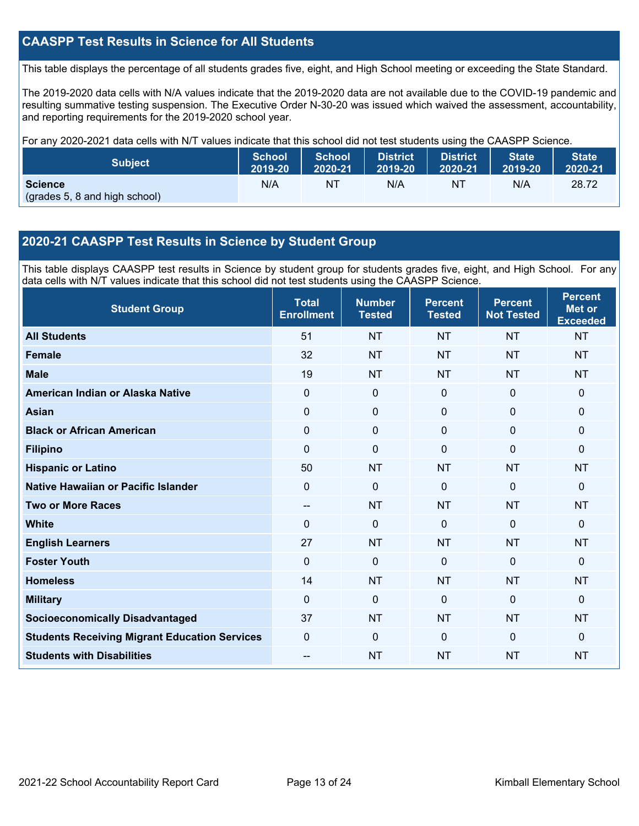### **CAASPP Test Results in Science for All Students**

This table displays the percentage of all students grades five, eight, and High School meeting or exceeding the State Standard.

 resulting summative testing suspension. The Executive Order N-30-20 was issued which waived the assessment, accountability, and reporting requirements for the 2019-2020 school year. The 2019-2020 data cells with N/A values indicate that the 2019-2020 data are not available due to the COVID-19 pandemic and

For any 2020-2021 data cells with N/T values indicate that this school did not test students using the CAASPP Science.

| <b>Subject</b>                                  | <b>School</b> | <b>School</b> | <b>District</b> | <b>District</b> | <b>State</b> | <b>State</b> |
|-------------------------------------------------|---------------|---------------|-----------------|-----------------|--------------|--------------|
|                                                 | 2019-20       | 2020-21       | 2019-20         | 2020-21         | 2019-20      | 2020-21      |
| <b>Science</b><br>(grades 5, 8 and high school) | N/A           | N1            | N/A             | NT              | N/A          | 28.72        |

#### **2020-21 CAASPP Test Results in Science by Student Group**

 This table displays CAASPP test results in Science by student group for students grades five, eight, and High School. For any data cells with N/T values indicate that this school did not test students using the CAASPP Science.

| <b>Student Group</b>                                 | <b>Total</b><br><b>Enrollment</b> | <b>Number</b><br><b>Tested</b> | <b>Percent</b><br><b>Tested</b> | <b>Percent</b><br><b>Not Tested</b> | <b>Percent</b><br><b>Met or</b><br><b>Exceeded</b> |
|------------------------------------------------------|-----------------------------------|--------------------------------|---------------------------------|-------------------------------------|----------------------------------------------------|
| <b>All Students</b>                                  | 51                                | <b>NT</b>                      | <b>NT</b>                       | <b>NT</b>                           | <b>NT</b>                                          |
| <b>Female</b>                                        | 32                                | <b>NT</b>                      | <b>NT</b>                       | <b>NT</b>                           | <b>NT</b>                                          |
| <b>Male</b>                                          | 19                                | <b>NT</b>                      | <b>NT</b>                       | <b>NT</b>                           | <b>NT</b>                                          |
| American Indian or Alaska Native                     | 0                                 | $\mathbf 0$                    | $\mathbf 0$                     | $\Omega$                            | $\mathbf{0}$                                       |
| <b>Asian</b>                                         | $\mathbf 0$                       | $\mathbf 0$                    | $\mathbf 0$                     | $\mathbf 0$                         | $\mathbf 0$                                        |
| <b>Black or African American</b>                     | $\pmb{0}$                         | $\pmb{0}$                      | $\pmb{0}$                       | $\pmb{0}$                           | $\pmb{0}$                                          |
| <b>Filipino</b>                                      | $\Omega$                          | $\mathbf 0$                    | $\mathbf{0}$                    | $\Omega$                            | $\mathbf{0}$                                       |
| <b>Hispanic or Latino</b>                            | 50                                | <b>NT</b>                      | <b>NT</b>                       | <b>NT</b>                           | <b>NT</b>                                          |
| Native Hawaiian or Pacific Islander                  | $\mathbf 0$                       | $\mathbf 0$                    | $\mathbf{0}$                    | $\overline{0}$                      | $\mathbf 0$                                        |
| <b>Two or More Races</b>                             | $\qquad \qquad -$                 | <b>NT</b>                      | <b>NT</b>                       | <b>NT</b>                           | <b>NT</b>                                          |
| <b>White</b>                                         | $\Omega$                          | $\mathbf 0$                    | $\mathbf{0}$                    | $\mathbf 0$                         | $\mathbf{0}$                                       |
| <b>English Learners</b>                              | 27                                | <b>NT</b>                      | <b>NT</b>                       | <b>NT</b>                           | <b>NT</b>                                          |
| <b>Foster Youth</b>                                  | $\mathbf 0$                       | $\mathbf 0$                    | $\mathbf{0}$                    | $\mathbf 0$                         | $\mathbf{0}$                                       |
| <b>Homeless</b>                                      | 14                                | <b>NT</b>                      | <b>NT</b>                       | <b>NT</b>                           | <b>NT</b>                                          |
| <b>Military</b>                                      | $\Omega$                          | 0                              | $\mathbf{0}$                    | $\Omega$                            | $\mathbf{0}$                                       |
| <b>Socioeconomically Disadvantaged</b>               | 37                                | <b>NT</b>                      | <b>NT</b>                       | <b>NT</b>                           | <b>NT</b>                                          |
| <b>Students Receiving Migrant Education Services</b> | 0                                 | 0                              | $\Omega$                        | $\Omega$                            | $\mathbf{0}$                                       |
| <b>Students with Disabilities</b>                    | $-$                               | <b>NT</b>                      | <b>NT</b>                       | <b>NT</b>                           | <b>NT</b>                                          |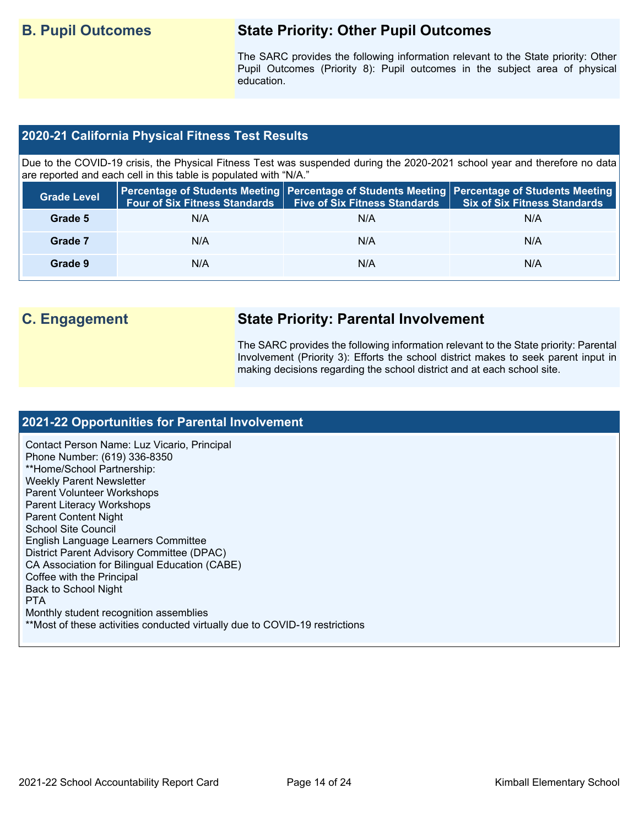## **B. Pupil Outcomes State Priority: Other Pupil Outcomes**

 Pupil Outcomes (Priority 8): Pupil outcomes in the subject area of physical The SARC provides the following information relevant to the State priority: Other education.

### **2020-21 California Physical Fitness Test Results**

 Due to the COVID-19 crisis, the Physical Fitness Test was suspended during the 2020-2021 school year and therefore no data are reported and each cell in this table is populated with "N/A."

| <b>Grade Level</b> | <b>Four of Six Fitness Standards</b> | Five of Six Fitness Standards   Six of Six Fitness Standards | Percentage of Students Meeting Percentage of Students Meeting Percentage of Students Meeting |
|--------------------|--------------------------------------|--------------------------------------------------------------|----------------------------------------------------------------------------------------------|
| Grade 5            | N/A                                  | N/A                                                          | N/A                                                                                          |
| Grade 7            | N/A                                  | N/A                                                          | N/A                                                                                          |
| Grade 9            | N/A                                  | N/A                                                          | N/A                                                                                          |

## **C. Engagement State Priority: Parental Involvement**

The SARC provides the following information relevant to the State priority: Parental Involvement (Priority 3): Efforts the school district makes to seek parent input in making decisions regarding the school district and at each school site.

#### **2021-22 Opportunities for Parental Involvement**

 School Site Council \*\*Most of these activities conducted virtually due to COVID-19 restrictions Contact Person Name: Luz Vicario, Principal Phone Number: (619) 336-8350 \*\*Home/School Partnership: Weekly Parent Newsletter Parent Volunteer Workshops Parent Literacy Workshops Parent Content Night English Language Learners Committee District Parent Advisory Committee (DPAC) CA Association for Bilingual Education (CABE) Coffee with the Principal Back to School Night PTA Monthly student recognition assemblies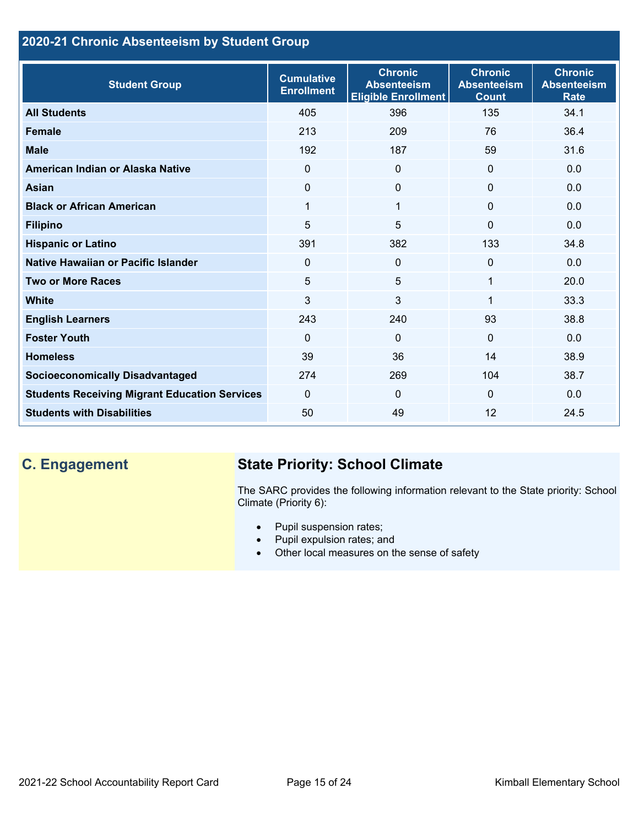## **2020-21 Chronic Absenteeism by Student Group**

| <b>Student Group</b>                                 | <b>Cumulative</b><br><b>Enrollment</b> | <b>Chronic</b><br><b>Absenteeism</b><br><b>Eligible Enrollment</b> | <b>Chronic</b><br><b>Absenteeism</b><br><b>Count</b> | <b>Chronic</b><br><b>Absenteeism</b><br><b>Rate</b> |
|------------------------------------------------------|----------------------------------------|--------------------------------------------------------------------|------------------------------------------------------|-----------------------------------------------------|
| <b>All Students</b>                                  | 405                                    | 396                                                                | 135                                                  | 34.1                                                |
| <b>Female</b>                                        | 213                                    | 209                                                                | 76                                                   | 36.4                                                |
| <b>Male</b>                                          | 192                                    | 187                                                                | 59                                                   | 31.6                                                |
| American Indian or Alaska Native                     | $\Omega$                               | $\Omega$                                                           | $\mathbf{0}$                                         | 0.0                                                 |
| <b>Asian</b>                                         | 0                                      | 0                                                                  | $\mathbf{0}$                                         | 0.0                                                 |
| <b>Black or African American</b>                     | 1                                      | 1                                                                  | $\mathbf{0}$                                         | 0.0                                                 |
| <b>Filipino</b>                                      | 5                                      | 5                                                                  | 0                                                    | 0.0                                                 |
| <b>Hispanic or Latino</b>                            | 391                                    | 382                                                                | 133                                                  | 34.8                                                |
| Native Hawaiian or Pacific Islander                  | 0                                      | 0                                                                  | $\mathbf 0$                                          | 0.0                                                 |
| <b>Two or More Races</b>                             | 5                                      | 5                                                                  | 1                                                    | 20.0                                                |
| <b>White</b>                                         | 3                                      | 3                                                                  | 1                                                    | 33.3                                                |
| <b>English Learners</b>                              | 243                                    | 240                                                                | 93                                                   | 38.8                                                |
| <b>Foster Youth</b>                                  | $\Omega$                               | $\mathbf{0}$                                                       | $\Omega$                                             | 0.0                                                 |
| <b>Homeless</b>                                      | 39                                     | 36                                                                 | 14                                                   | 38.9                                                |
| <b>Socioeconomically Disadvantaged</b>               | 274                                    | 269                                                                | 104                                                  | 38.7                                                |
| <b>Students Receiving Migrant Education Services</b> | $\Omega$                               | 0                                                                  | $\Omega$                                             | 0.0                                                 |
| <b>Students with Disabilities</b>                    | 50                                     | 49                                                                 | 12                                                   | 24.5                                                |

## **C. Engagement State Priority: School Climate**

 The SARC provides the following information relevant to the State priority: School Climate (Priority 6):

- Pupil suspension rates;
- Pupil expulsion rates; and
- Other local measures on the sense of safety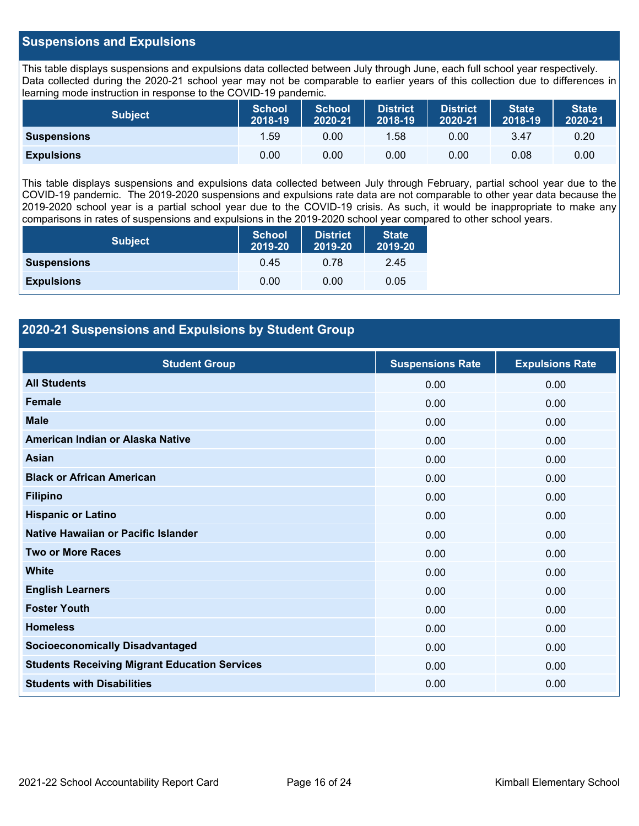#### **Suspensions and Expulsions**

This table displays suspensions and expulsions data collected between July through June, each full school year respectively. This table displays suspensions and expulsions data collected between July through June, each full school year respectively.<br>Data collected during the 2020-21 school year may not be comparable to earlier years of this coll learning mode instruction in response to the COVID-19 pandemic.

| <b>Subject</b>     | <b>School</b><br>2018-19 | <b>School</b><br>2020-21 | <b>District</b><br>2018-19 | <b>District</b><br>2020-21 | <b>State</b><br>2018-19 | <b>State</b><br>2020-21 |
|--------------------|--------------------------|--------------------------|----------------------------|----------------------------|-------------------------|-------------------------|
| <b>Suspensions</b> | 1.59                     | 0.00                     | 1.58                       | 0.00                       | 3.47                    | 0.20                    |
| <b>Expulsions</b>  | 0.00                     | 0.00                     | 0.00                       | 0.00                       | 0.08                    | 0.00                    |

 2019-2020 school year is a partial school year due to the COVID-19 crisis. As such, it would be inappropriate to make any This table displays suspensions and expulsions data collected between July through February, partial school year due to the COVID-19 pandemic. The 2019-2020 suspensions and expulsions rate data are not comparable to other year data because the comparisons in rates of suspensions and expulsions in the 2019-2020 school year compared to other school years.

| <b>Subject</b>     | <b>School</b><br>2019-20 | <b>District</b><br>2019-20 | <b>State</b><br>2019-20 |
|--------------------|--------------------------|----------------------------|-------------------------|
| <b>Suspensions</b> | 0.45                     | 0.78                       | 2.45                    |
| <b>Expulsions</b>  | 0.00                     | 0.00                       | 0.05                    |

#### **2020-21 Suspensions and Expulsions by Student Group**

| <b>Student Group</b>                                 | <b>Suspensions Rate</b> | <b>Expulsions Rate</b> |
|------------------------------------------------------|-------------------------|------------------------|
| <b>All Students</b>                                  | 0.00                    | 0.00                   |
| <b>Female</b>                                        | 0.00                    | 0.00                   |
| <b>Male</b>                                          | 0.00                    | 0.00                   |
| American Indian or Alaska Native                     | 0.00                    | 0.00                   |
| <b>Asian</b>                                         | 0.00                    | 0.00                   |
| <b>Black or African American</b>                     | 0.00                    | 0.00                   |
| <b>Filipino</b>                                      | 0.00                    | 0.00                   |
| <b>Hispanic or Latino</b>                            | 0.00                    | 0.00                   |
| Native Hawaiian or Pacific Islander                  | 0.00                    | 0.00                   |
| <b>Two or More Races</b>                             | 0.00                    | 0.00                   |
| <b>White</b>                                         | 0.00                    | 0.00                   |
| <b>English Learners</b>                              | 0.00                    | 0.00                   |
| <b>Foster Youth</b>                                  | 0.00                    | 0.00                   |
| <b>Homeless</b>                                      | 0.00                    | 0.00                   |
| <b>Socioeconomically Disadvantaged</b>               | 0.00                    | 0.00                   |
| <b>Students Receiving Migrant Education Services</b> | 0.00                    | 0.00                   |
| <b>Students with Disabilities</b>                    | 0.00                    | 0.00                   |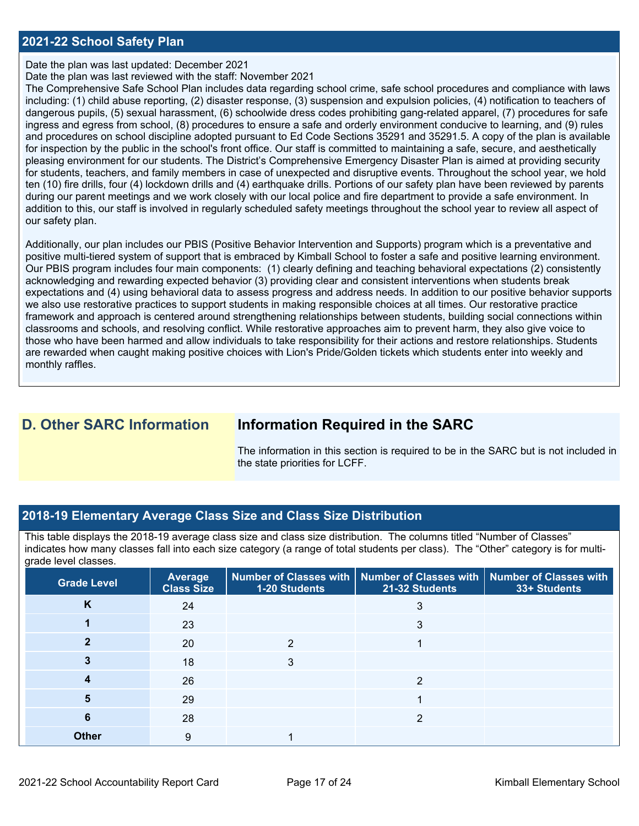#### **2021-22 School Safety Plan**

Date the plan was last updated: December 2021

Date the plan was last reviewed with the staff: November 2021

The Comprehensive Safe School Plan includes data regarding school crime, safe school procedures and compliance with laws including: (1) child abuse reporting, (2) disaster response, (3) suspension and expulsion policies, (4) notification to teachers of dangerous pupils, (5) sexual harassment, (6) schoolwide dress codes prohibiting gang-related apparel, (7) procedures for safe ingress and egress from school, (8) procedures to ensure a safe and orderly environment conducive to learning, and (9) rules and procedures on school discipline adopted pursuant to Ed Code Sections 35291 and 35291.5. A copy of the plan is available for inspection by the public in the school's front office. Our staff is committed to maintaining a safe, secure, and aesthetically pleasing environment for our students. The District's Comprehensive Emergency Disaster Plan is aimed at providing security for students, teachers, and family members in case of unexpected and disruptive events. Throughout the school year, we hold ten (10) fire drills, four (4) lockdown drills and (4) earthquake drills. Portions of our safety plan have been reviewed by parents during our parent meetings and we work closely with our local police and fire department to provide a safe environment. In addition to this, our staff is involved in regularly scheduled safety meetings throughout the school year to review all aspect of our safety plan.

 positive multi-tiered system of support that is embraced by Kimball School to foster a safe and positive learning environment. expectations and (4) using behavioral data to assess progress and address needs. In addition to our positive behavior supports framework and approach is centered around strengthening relationships between students, building social connections within those who have been harmed and allow individuals to take responsibility for their actions and restore relationships. Students Additionally, our plan includes our PBIS (Positive Behavior Intervention and Supports) program which is a preventative and Our PBIS program includes four main components: (1) clearly defining and teaching behavioral expectations (2) consistently acknowledging and rewarding expected behavior (3) providing clear and consistent interventions when students break we also use restorative practices to support students in making responsible choices at all times. Our restorative practice classrooms and schools, and resolving conflict. While restorative approaches aim to prevent harm, they also give voice to are rewarded when caught making positive choices with Lion's Pride/Golden tickets which students enter into weekly and monthly raffles.

## **D. Other SARC Information Information Required in the SARC**

 The information in this section is required to be in the SARC but is not included in the state priorities for LCFF.

#### **2018-19 Elementary Average Class Size and Class Size Distribution**

 indicates how many classes fall into each size category (a range of total students per class). The "Other" category is for multi-This table displays the 2018-19 average class size and class size distribution. The columns titled "Number of Classes" grade level classes.

| <b>Grade Level</b> | Average<br><b>Class Size</b> | 1-20 Students | Number of Classes with   Number of Classes with   Number of Classes with<br>21-32 Students | 33+ Students |
|--------------------|------------------------------|---------------|--------------------------------------------------------------------------------------------|--------------|
| K                  | 24                           |               |                                                                                            |              |
|                    | 23                           |               | 3                                                                                          |              |
|                    | 20                           | 2             |                                                                                            |              |
|                    | 18                           | 3             |                                                                                            |              |
|                    | 26                           |               | າ                                                                                          |              |
| 5                  | 29                           |               |                                                                                            |              |
| 6                  | 28                           |               |                                                                                            |              |
| <b>Other</b>       | 9                            |               |                                                                                            |              |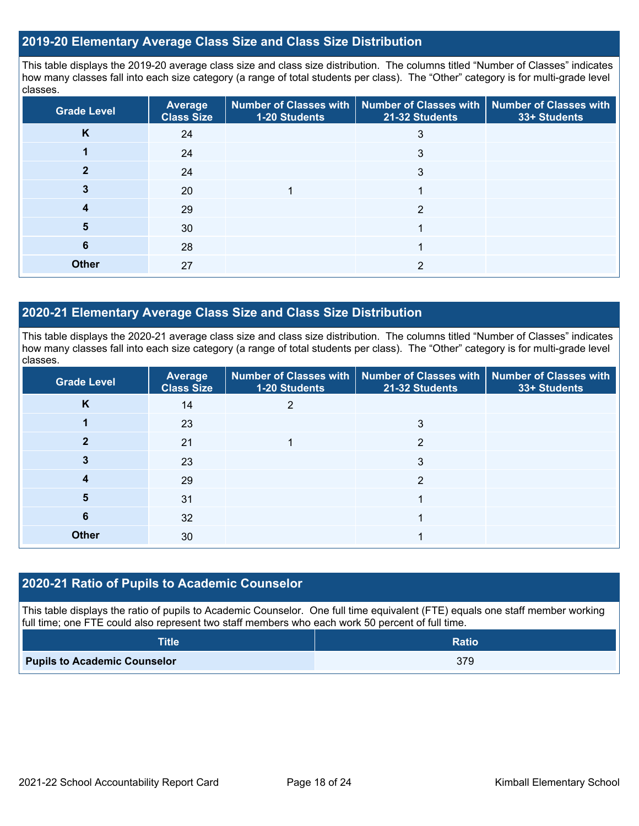#### **2019-20 Elementary Average Class Size and Class Size Distribution**

This table displays the 2019-20 average class size and class size distribution. The columns titled "Number of Classes" indicates how many classes fall into each size category (a range of total students per class). The "Other" category is for multi-grade level classes.

| <b>Grade Level</b> | Average<br><b>Class Size</b> | 1-20 Students | Number of Classes with   Number of Classes with  <br>21-32 Students | Number of Classes with<br>33+ Students |
|--------------------|------------------------------|---------------|---------------------------------------------------------------------|----------------------------------------|
| K                  | 24                           |               |                                                                     |                                        |
|                    | 24                           |               | 3                                                                   |                                        |
|                    | 24                           |               | 3                                                                   |                                        |
|                    | 20                           |               |                                                                     |                                        |
|                    | 29                           |               | 2                                                                   |                                        |
| 5                  | 30                           |               |                                                                     |                                        |
| 6                  | 28                           |               |                                                                     |                                        |
| <b>Other</b>       | 27                           |               |                                                                     |                                        |

#### **2020-21 Elementary Average Class Size and Class Size Distribution**

This table displays the 2020-21 average class size and class size distribution. The columns titled "Number of Classes" indicates how many classes fall into each size category (a range of total students per class). The "Other" category is for multi-grade level classes.

| <b>Grade Level</b> | <b>Average</b><br><b>Class Size</b> | 1-20 Students | Number of Classes with   Number of Classes with   Number of Classes with<br>21-32 Students | 33+ Students |
|--------------------|-------------------------------------|---------------|--------------------------------------------------------------------------------------------|--------------|
| K                  | 14                                  |               |                                                                                            |              |
|                    | 23                                  |               | 3                                                                                          |              |
|                    | 21                                  |               | っ                                                                                          |              |
|                    | 23                                  |               | 3                                                                                          |              |
|                    | 29                                  |               | າ                                                                                          |              |
| 5                  | 31                                  |               |                                                                                            |              |
| 6                  | 32                                  |               |                                                                                            |              |
| <b>Other</b>       | 30                                  |               |                                                                                            |              |

#### **2020-21 Ratio of Pupils to Academic Counselor**

This table displays the ratio of pupils to Academic Counselor. One full time equivalent (FTE) equals one staff member working full time; one FTE could also represent two staff members who each work 50 percent of full time.

| Title                               | <b>Ratio</b> |
|-------------------------------------|--------------|
| <b>Pupils to Academic Counselor</b> | 379          |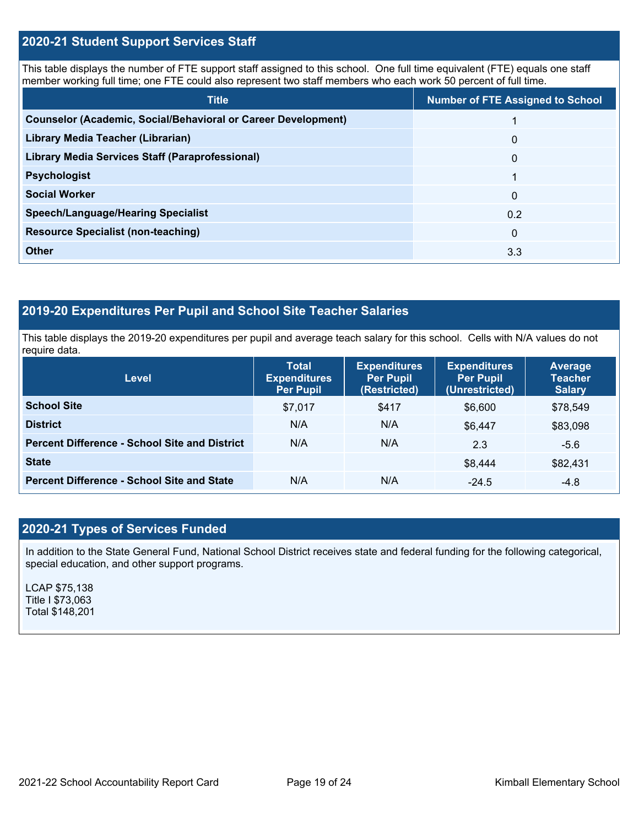### **2020-21 Student Support Services Staff**

This table displays the number of FTE support staff assigned to this school. One full time equivalent (FTE) equals one staff member working full time; one FTE could also represent two staff members who each work 50 percent of full time.

| <b>Title</b>                                                         | <b>Number of FTE Assigned to School</b> |
|----------------------------------------------------------------------|-----------------------------------------|
| <b>Counselor (Academic, Social/Behavioral or Career Development)</b> |                                         |
| Library Media Teacher (Librarian)                                    | $\mathbf{0}$                            |
| <b>Library Media Services Staff (Paraprofessional)</b>               | $\mathbf{0}$                            |
| <b>Psychologist</b>                                                  |                                         |
| <b>Social Worker</b>                                                 | $\Omega$                                |
| <b>Speech/Language/Hearing Specialist</b>                            | 0.2                                     |
| <b>Resource Specialist (non-teaching)</b>                            | $\mathbf{0}$                            |
| <b>Other</b>                                                         | 3.3                                     |

## **2019-20 Expenditures Per Pupil and School Site Teacher Salaries**

 This table displays the 2019-20 expenditures per pupil and average teach salary for this school. Cells with N/A values do not require data.

| <b>Level</b>                                         | <b>Total</b><br><b>Expenditures</b><br><b>Per Pupil</b> | <b>Expenditures</b><br><b>Per Pupil</b><br>(Restricted) | <b>Expenditures</b><br><b>Per Pupil</b><br>(Unrestricted) | Average<br><b>Teacher</b><br><b>Salary</b> |
|------------------------------------------------------|---------------------------------------------------------|---------------------------------------------------------|-----------------------------------------------------------|--------------------------------------------|
| <b>School Site</b>                                   | \$7,017                                                 | \$417                                                   | \$6,600                                                   | \$78,549                                   |
| <b>District</b>                                      | N/A                                                     | N/A                                                     | \$6.447                                                   | \$83,098                                   |
| <b>Percent Difference - School Site and District</b> | N/A                                                     | N/A                                                     | 2.3                                                       | $-5.6$                                     |
| <b>State</b>                                         |                                                         |                                                         | \$8,444                                                   | \$82,431                                   |
| <b>Percent Difference - School Site and State</b>    | N/A                                                     | N/A                                                     | $-24.5$                                                   | $-4.8$                                     |

### **2020-21 Types of Services Funded**

In addition to the State General Fund, National School District receives state and federal funding for the following categorical, special education, and other support programs.

LCAP \$75,138 Title I \$73,063 Total \$148,201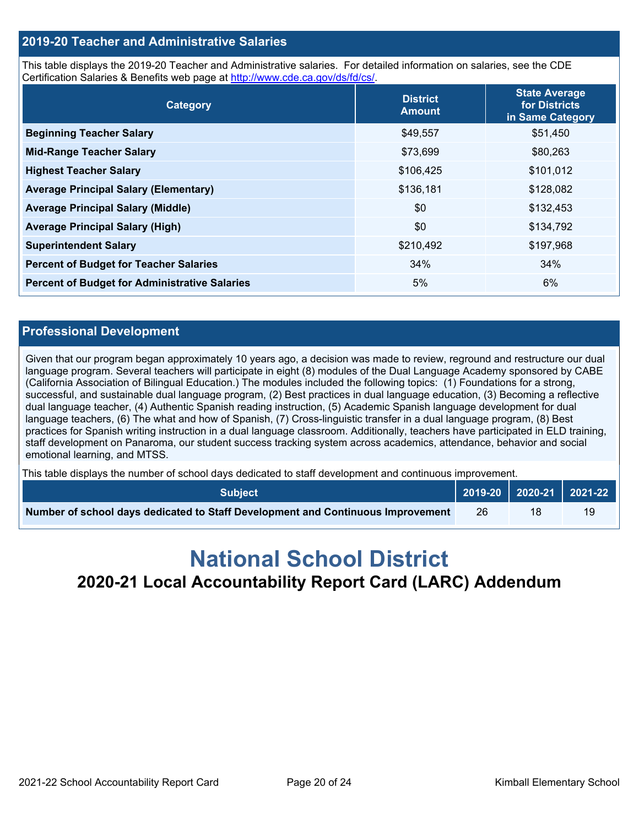#### **2019-20 Teacher and Administrative Salaries**

This table displays the 2019-20 Teacher and Administrative salaries. For detailed information on salaries, see the CDE Certification Salaries & Benefits web page at<http://www.cde.ca.gov/ds/fd/cs/>.

| Category                                             | <b>District</b><br><b>Amount</b> | <b>State Average</b><br>for Districts<br>in Same Category |
|------------------------------------------------------|----------------------------------|-----------------------------------------------------------|
| <b>Beginning Teacher Salary</b>                      | \$49,557                         | \$51,450                                                  |
| <b>Mid-Range Teacher Salary</b>                      | \$73,699                         | \$80,263                                                  |
| <b>Highest Teacher Salary</b>                        | \$106,425                        | \$101,012                                                 |
| <b>Average Principal Salary (Elementary)</b>         | \$136,181                        | \$128,082                                                 |
| <b>Average Principal Salary (Middle)</b>             | \$0                              | \$132,453                                                 |
| <b>Average Principal Salary (High)</b>               | \$0                              | \$134,792                                                 |
| <b>Superintendent Salary</b>                         | \$210,492                        | \$197,968                                                 |
| <b>Percent of Budget for Teacher Salaries</b>        | 34%                              | 34%                                                       |
| <b>Percent of Budget for Administrative Salaries</b> | 5%                               | 6%                                                        |

#### **Professional Development**

 (California Association of Bilingual Education.) The modules included the following topics: (1) Foundations for a strong, dual language teacher, (4) Authentic Spanish reading instruction, (5) Academic Spanish language development for dual language teachers, (6) The what and how of Spanish, (7) Cross-linguistic transfer in a dual language program, (8) Best Given that our program began approximately 10 years ago, a decision was made to review, reground and restructure our dual language program. Several teachers will participate in eight (8) modules of the Dual Language Academy sponsored by CABE successful, and sustainable dual language program, (2) Best practices in dual language education, (3) Becoming a reflective practices for Spanish writing instruction in a dual language classroom. Additionally, teachers have participated in ELD training, staff development on Panaroma, our student success tracking system across academics, attendance, behavior and social emotional learning, and MTSS.

This table displays the number of school days dedicated to staff development and continuous improvement.

| <b>Subiect</b> \                                                                |     |    |
|---------------------------------------------------------------------------------|-----|----|
| Number of school days dedicated to Staff Development and Continuous Improvement | -26 | 19 |

# **National School District 2020-21 Local Accountability Report Card (LARC) Addendum**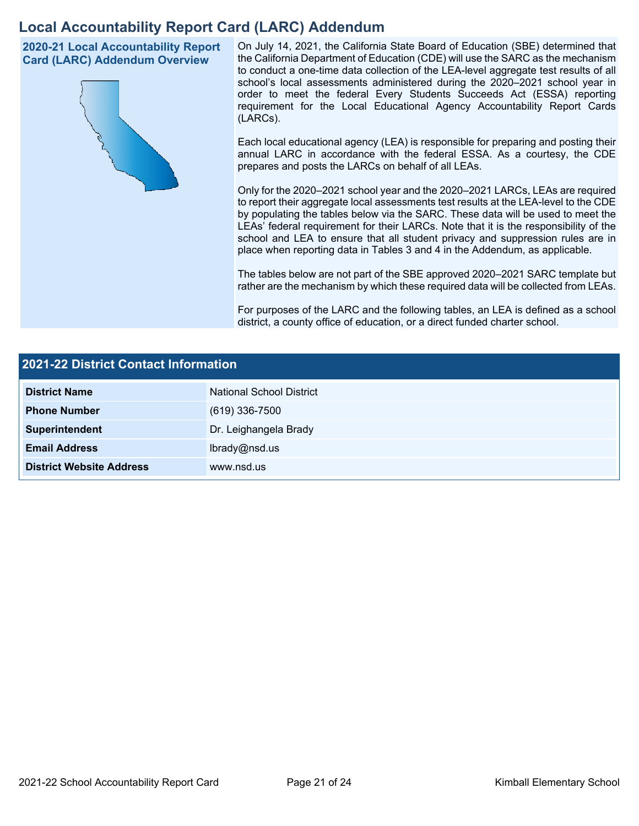## **Local Accountability Report Card (LARC) Addendum**

**2020-21 Local Accountability Report Card (LARC) Addendum Overview** 



 On July 14, 2021, the California State Board of Education (SBE) determined that the California Department of Education (CDE) will use the SARC as the mechanism to conduct a one-time data collection of the LEA-level aggregate test results of all school's local assessments administered during the 2020–2021 school year in order to meet the federal Every Students Succeeds Act (ESSA) reporting requirement for the Local Educational Agency Accountability Report Cards (LARCs).

Each local educational agency (LEA) is responsible for preparing and posting their annual LARC in accordance with the federal ESSA. As a courtesy, the CDE prepares and posts the LARCs on behalf of all LEAs.

 to report their aggregate local assessments test results at the LEA-level to the CDE by populating the tables below via the SARC. These data will be used to meet the Only for the 2020–2021 school year and the 2020–2021 LARCs, LEAs are required LEAs' federal requirement for their LARCs. Note that it is the responsibility of the school and LEA to ensure that all student privacy and suppression rules are in place when reporting data in Tables 3 and 4 in the Addendum, as applicable.

The tables below are not part of the SBE approved 2020–2021 SARC template but rather are the mechanism by which these required data will be collected from LEAs.

For purposes of the LARC and the following tables, an LEA is defined as a school district, a county office of education, or a direct funded charter school.

| 2021-22 District Contact Information |                          |  |  |
|--------------------------------------|--------------------------|--|--|
| <b>District Name</b>                 | National School District |  |  |
| <b>Phone Number</b>                  | $(619)$ 336-7500         |  |  |
| Superintendent                       | Dr. Leighangela Brady    |  |  |
| <b>Email Address</b>                 | lbrady@nsd.us            |  |  |
| <b>District Website Address</b>      | www.nsd.us               |  |  |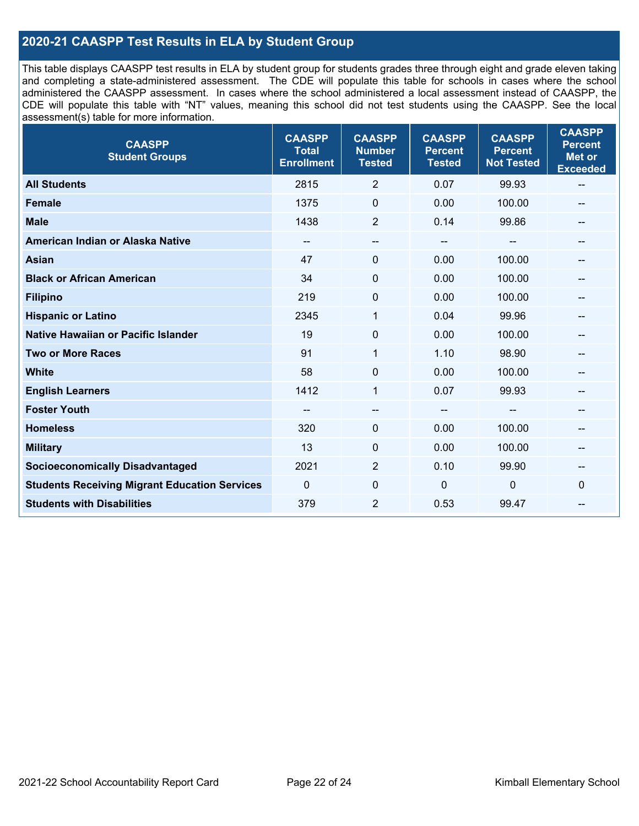### **2020-21 CAASPP Test Results in ELA by Student Group**

 and completing a state-administered assessment. The CDE will populate this table for schools in cases where the school CDE will populate this table with "NT" values, meaning this school did not test students using the CAASPP. See the local This table displays CAASPP test results in ELA by student group for students grades three through eight and grade eleven taking administered the CAASPP assessment. In cases where the school administered a local assessment instead of CAASPP, the assessment(s) table for more information.

| <b>CAASPP</b><br><b>Student Groups</b>               | <b>CAASPP</b><br><b>Total</b><br><b>Enrollment</b> | <b>CAASPP</b><br><b>Number</b><br><b>Tested</b> | <b>CAASPP</b><br><b>Percent</b><br><b>Tested</b> | <b>CAASPP</b><br><b>Percent</b><br><b>Not Tested</b> | <b>CAASPP</b><br><b>Percent</b><br><b>Met or</b><br><b>Exceeded</b> |
|------------------------------------------------------|----------------------------------------------------|-------------------------------------------------|--------------------------------------------------|------------------------------------------------------|---------------------------------------------------------------------|
| <b>All Students</b>                                  | 2815                                               | $\overline{2}$                                  | 0.07                                             | 99.93                                                | $\overline{\phantom{m}}$                                            |
| <b>Female</b>                                        | 1375                                               | $\mathbf 0$                                     | 0.00                                             | 100.00                                               |                                                                     |
| <b>Male</b>                                          | 1438                                               | $\overline{2}$                                  | 0.14                                             | 99.86                                                | --                                                                  |
| American Indian or Alaska Native                     | --                                                 | --                                              | $\overline{\phantom{a}}$                         | --                                                   | --                                                                  |
| <b>Asian</b>                                         | 47                                                 | 0                                               | 0.00                                             | 100.00                                               |                                                                     |
| <b>Black or African American</b>                     | 34                                                 | 0                                               | 0.00                                             | 100.00                                               |                                                                     |
| <b>Filipino</b>                                      | 219                                                | 0                                               | 0.00                                             | 100.00                                               |                                                                     |
| <b>Hispanic or Latino</b>                            | 2345                                               | 1                                               | 0.04                                             | 99.96                                                |                                                                     |
| <b>Native Hawaiian or Pacific Islander</b>           | 19                                                 | $\mathbf 0$                                     | 0.00                                             | 100.00                                               |                                                                     |
| <b>Two or More Races</b>                             | 91                                                 | $\mathbf{1}$                                    | 1.10                                             | 98.90                                                |                                                                     |
| <b>White</b>                                         | 58                                                 | $\Omega$                                        | 0.00                                             | 100.00                                               | $\hspace{0.05cm}$                                                   |
| <b>English Learners</b>                              | 1412                                               | $\mathbf{1}$                                    | 0.07                                             | 99.93                                                |                                                                     |
| <b>Foster Youth</b>                                  |                                                    | $\overline{\phantom{0}}$                        | $-$                                              |                                                      |                                                                     |
| <b>Homeless</b>                                      | 320                                                | 0                                               | 0.00                                             | 100.00                                               | --                                                                  |
| <b>Military</b>                                      | 13                                                 | 0                                               | 0.00                                             | 100.00                                               | --                                                                  |
| <b>Socioeconomically Disadvantaged</b>               | 2021                                               | $\overline{2}$                                  | 0.10                                             | 99.90                                                | --                                                                  |
| <b>Students Receiving Migrant Education Services</b> | $\mathbf{0}$                                       | $\mathbf 0$                                     | $\mathbf 0$                                      | 0                                                    | $\Omega$                                                            |
| <b>Students with Disabilities</b>                    | 379                                                | $\overline{2}$                                  | 0.53                                             | 99.47                                                |                                                                     |